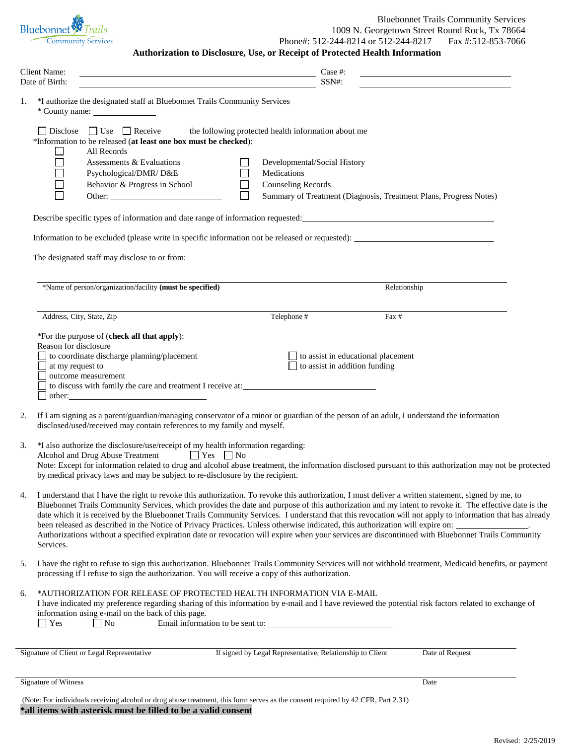| Bluebonnet <i>F</i> Trails |
|----------------------------|
| <b>Community Services</b>  |

**Authorization to Disclosure, Use, or Receipt of Protected Health Information** Client Name: Case #: Date of Birth: SSN#: 1. \*I authorize the designated staff at Bluebonnet Trails Community Services \* County name:  $\Box$  Disclose  $\Box$  Use  $\Box$  Receive the following protected health information about me \*Information to be released (**at least one box must be checked**):  $\Box$ All Records  $\Box$ Assessments & Evaluations Developmental/Social History  $\Box$ Psychological/DMR/ D&E Medications  $\Box$ Behavior & Progress in School Counseling Records  $\Box$ Other: Summary of Treatment (Diagnosis, Treatment Plans, Progress Notes) Describe specific types of information and date range of information requested: Information to be excluded (please write in specific information not be released or requested): The designated staff may disclose to or from: \*Name of person/organization/facility **(must be specified)** Relationship Address, City, State, Zip Telephone # Fax # Fax # Fax # Fax # Fax # Fax # Fax # Fax # Fax # Fax # Fax # Fax # Fax # Fax # Fax # Fax # Fax # Fax # Fax # Fax # Fax # Fax # Fax # Fax # Fax # Fax # Fax # Fax # Fax # Fax # Fax \*For the purpose of (**check all that apply**): Reason for disclosure  $\Box$  to coordinate discharge planning/placement to assist in educational placement at my request to  $\Box$  to assist in addition funding outcome measurement □ to discuss with family the care and treatment I receive at: other: 2. If I am signing as a parent/guardian/managing conservator of a minor or guardian of the person of an adult, I understand the information disclosed/used/received may contain references to my family and myself. 3. \*I also authorize the disclosure/use/receipt of my health information regarding: Alcohol and Drug Abuse Treatment  $\Box$  Yes  $\Box$  No Note: Except for information related to drug and alcohol abuse treatment, the information disclosed pursuant to this authorization may not be protected by medical privacy laws and may be subject to re-disclosure by the recipient. 4. I understand that I have the right to revoke this authorization. To revoke this authorization, I must deliver a written statement, signed by me, to Bluebonnet Trails Community Services, which provides the date and purpose of this authorization and my intent to revoke it. The effective date is the date which it is received by the Bluebonnet Trails Community Services. I understand that this revocation will not apply to information that has already been released as described in the Notice of Privacy Practices. Unless otherwise indicated, this authorization will expire on: Authorizations without a specified expiration date or revocation will expire when your services are discontinued with Bluebonnet Trails Community Services. 5. I have the right to refuse to sign this authorization. Bluebonnet Trails Community Services will not withhold treatment, Medicaid benefits, or payment processing if I refuse to sign the authorization. You will receive a copy of this authorization. 6. \*AUTHORIZATION FOR RELEASE OF PROTECTED HEALTH INFORMATION VIA E-MAIL I have indicated my preference regarding sharing of this information by e-mail and I have reviewed the potential risk factors related to exchange of information using e-mail on the back of this page. No Email information to be sent to: Signature of Client or Legal Representative If signed by Legal Representative, Relationship to Client Date of Request Signature of Witness Date Number of Witness Date Number of Witness Date Number of Witness Date Number of Witness Date Number of Witness Date Number of Witness Date Number of Witness Date Number of Witness Date Number of Wi

(Note: For individuals receiving alcohol or drug abuse treatment, this form serves as the consent required by 42 CFR, Part 2.31) **\*all items with asterisk must be filled to be a valid consent**